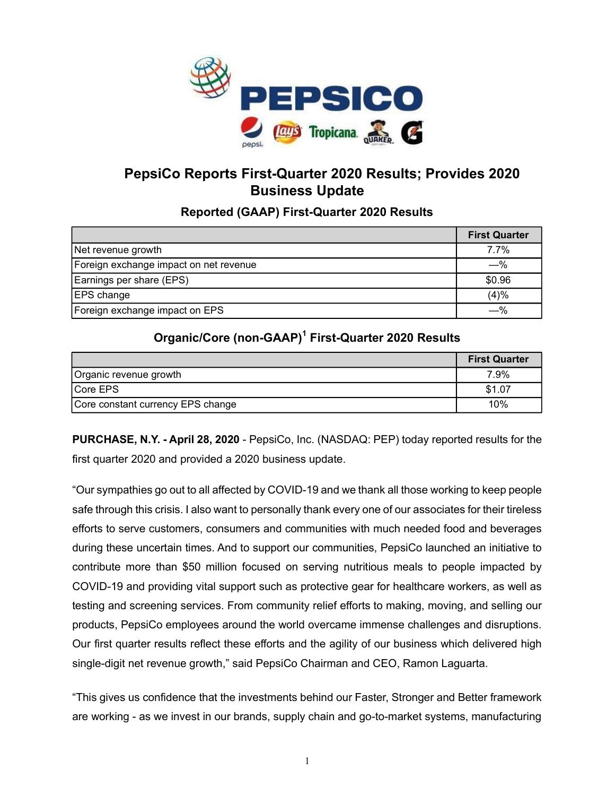

# PepsiCo Reports First-Quarter 2020 Results; Provides 2020 Business Update

## Reported (GAAP) First-Quarter 2020 Results

|                                        | <b>First Quarter</b> |
|----------------------------------------|----------------------|
| Net revenue growth                     | 7.7%                 |
| Foreign exchange impact on net revenue | —%                   |
| Earnings per share (EPS)               | \$0.96               |
| <b>EPS</b> change                      | (4)%                 |
| Foreign exchange impact on EPS         | —%                   |

## Organic/Core (non-GAAP)<sup>1</sup> First-Quarter 2020 Results

|                                   | <b>First Quarter</b> |
|-----------------------------------|----------------------|
| Organic revenue growth            | 7.9%                 |
| Core EPS                          | \$1.07               |
| Core constant currency EPS change | 10%                  |

PURCHASE, N.Y. - April 28, 2020 - PepsiCo, Inc. (NASDAQ: PEP) today reported results for the first quarter 2020 and provided a 2020 business update.

"Our sympathies go out to all affected by COVID-19 and we thank all those working to keep people safe through this crisis. I also want to personally thank every one of our associates for their tireless efforts to serve customers, consumers and communities with much needed food and beverages during these uncertain times. And to support our communities, PepsiCo launched an initiative to contribute more than \$50 million focused on serving nutritious meals to people impacted by COVID-19 and providing vital support such as protective gear for healthcare workers, as well as testing and screening services. From community relief efforts to making, moving, and selling our products, PepsiCo employees around the world overcame immense challenges and disruptions. Our first quarter results reflect these efforts and the agility of our business which delivered high single-digit net revenue growth," said PepsiCo Chairman and CEO, Ramon Laguarta.

"This gives us confidence that the investments behind our Faster, Stronger and Better framework are working - as we invest in our brands, supply chain and go-to-market systems, manufacturing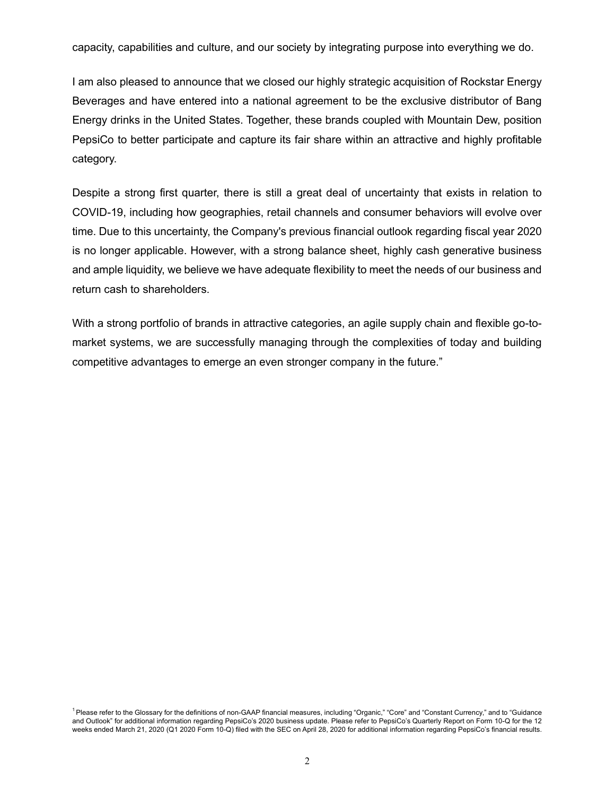capacity, capabilities and culture, and our society by integrating purpose into everything we do.

I am also pleased to announce that we closed our highly strategic acquisition of Rockstar Energy Beverages and have entered into a national agreement to be the exclusive distributor of Bang Energy drinks in the United States. Together, these brands coupled with Mountain Dew, position PepsiCo to better participate and capture its fair share within an attractive and highly profitable category.

Despite a strong first quarter, there is still a great deal of uncertainty that exists in relation to COVID-19, including how geographies, retail channels and consumer behaviors will evolve over time. Due to this uncertainty, the Company's previous financial outlook regarding fiscal year 2020 is no longer applicable. However, with a strong balance sheet, highly cash generative business and ample liquidity, we believe we have adequate flexibility to meet the needs of our business and return cash to shareholders.

With a strong portfolio of brands in attractive categories, an agile supply chain and flexible go-tomarket systems, we are successfully managing through the complexities of today and building competitive advantages to emerge an even stronger company in the future."

<sup>1</sup> Please refer to the Glossary for the definitions of non-GAAP financial measures, including "Organic," "Core" and "Constant Currency," and to "Guidance and Outlook" for additional information regarding PepsiCo's 2020 business update. Please refer to PepsiCo's Quarterly Report on Form 10-Q for the 12 weeks ended March 21, 2020 (Q1 2020 Form 10-Q) filed with the SEC on April 28, 2020 for additional information regarding PepsiCo's financial results.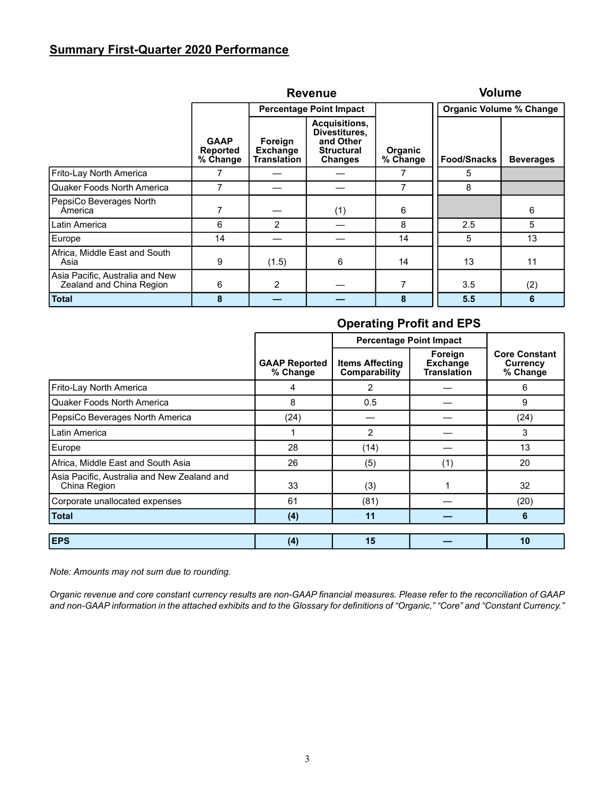## Summary First-Quarter 2020 Performance

|                                                             |                                            |                                                  | <b>Revenue</b>                                                                     |                     | <b>Volume</b>                  |                  |
|-------------------------------------------------------------|--------------------------------------------|--------------------------------------------------|------------------------------------------------------------------------------------|---------------------|--------------------------------|------------------|
|                                                             |                                            |                                                  | <b>Percentage Point Impact</b>                                                     |                     | <b>Organic Volume % Change</b> |                  |
|                                                             | <b>GAAP</b><br><b>Reported</b><br>% Change | Foreign<br><b>Exchange</b><br><b>Translation</b> | Acquisitions,<br>Divestitures.<br>and Other<br><b>Structural</b><br><b>Changes</b> | Organic<br>% Change | <b>Food/Snacks</b>             | <b>Beverages</b> |
| Frito-Lay North America                                     |                                            |                                                  |                                                                                    |                     | 5                              |                  |
| Quaker Foods North America                                  | 7                                          |                                                  |                                                                                    | 7                   | 8                              |                  |
| PepsiCo Beverages North<br>America                          | 7                                          |                                                  | (1)                                                                                | 6                   |                                | 6                |
| Latin America                                               | 6                                          | 2                                                |                                                                                    | 8                   | 2.5                            | 5                |
| Europe                                                      | 14                                         |                                                  |                                                                                    | 14                  | 5                              | 13               |
| Africa, Middle East and South<br>Asia                       | 9                                          | (1.5)                                            | 6                                                                                  | 14                  | 13                             | 11               |
| Asia Pacific, Australia and New<br>Zealand and China Region | 6                                          | 2                                                |                                                                                    |                     | 3.5                            | (2)              |
| <b>Total</b>                                                | 8                                          |                                                  |                                                                                    | 8                   | 5.5                            | 6                |

## Operating Profit and EPS

|                                                             |                                  | <b>Percentage Point Impact</b>          |                                                  |                                                     |
|-------------------------------------------------------------|----------------------------------|-----------------------------------------|--------------------------------------------------|-----------------------------------------------------|
|                                                             | <b>GAAP Reported</b><br>% Change | <b>Items Affecting</b><br>Comparability | Foreign<br><b>Exchange</b><br><b>Translation</b> | <b>Core Constant</b><br><b>Currency</b><br>% Change |
| Frito-Lay North America                                     | 4                                | 2                                       |                                                  | 6                                                   |
| Quaker Foods North America                                  | 8                                | 0.5                                     |                                                  | 9                                                   |
| PepsiCo Beverages North America                             | (24)                             |                                         |                                                  | (24)                                                |
| Latin America                                               |                                  | 2                                       |                                                  | 3                                                   |
| Europe                                                      | 28                               | (14)                                    |                                                  | 13                                                  |
| Africa, Middle East and South Asia                          | 26                               | (5)                                     | (1)                                              | 20                                                  |
| Asia Pacific, Australia and New Zealand and<br>China Region | 33                               | (3)                                     |                                                  | 32                                                  |
| Corporate unallocated expenses                              | 61                               | (81)                                    |                                                  | (20)                                                |
| <b>Total</b>                                                | (4)                              | 11                                      |                                                  | 6                                                   |
|                                                             |                                  |                                         |                                                  |                                                     |
| <b>EPS</b>                                                  | (4)                              | 15                                      |                                                  | 10                                                  |

Note: Amounts may not sum due to rounding.

Organic revenue and core constant currency results are non-GAAP financial measures. Please refer to the reconciliation of GAAP and non-GAAP information in the attached exhibits and to the Glossary for definitions of "Organic," "Core" and "Constant Currency."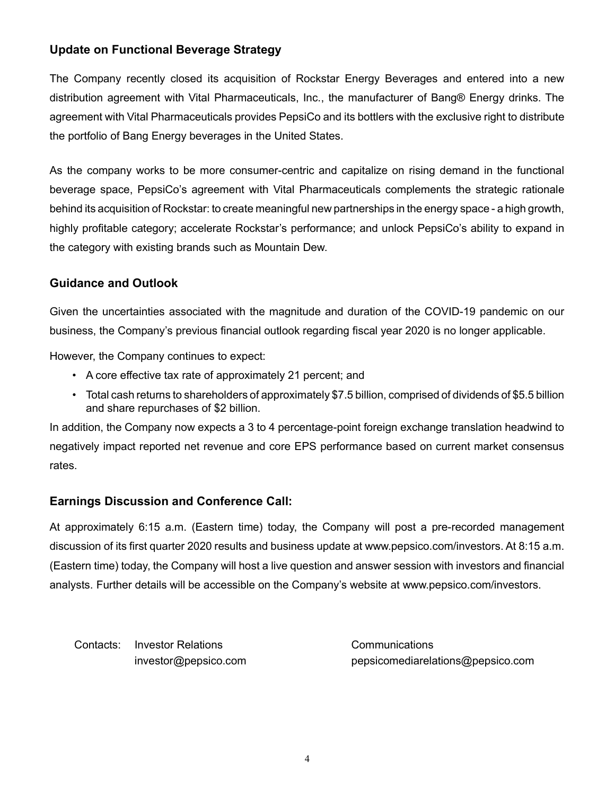## Update on Functional Beverage Strategy

The Company recently closed its acquisition of Rockstar Energy Beverages and entered into a new distribution agreement with Vital Pharmaceuticals, Inc., the manufacturer of Bang® Energy drinks. The agreement with Vital Pharmaceuticals provides PepsiCo and its bottlers with the exclusive right to distribute the portfolio of Bang Energy beverages in the United States.

As the company works to be more consumer-centric and capitalize on rising demand in the functional beverage space, PepsiCo's agreement with Vital Pharmaceuticals complements the strategic rationale behind its acquisition of Rockstar: to create meaningful new partnerships in the energy space - a high growth, highly profitable category; accelerate Rockstar's performance; and unlock PepsiCo's ability to expand in the category with existing brands such as Mountain Dew.

## Guidance and Outlook

Given the uncertainties associated with the magnitude and duration of the COVID-19 pandemic on our business, the Company's previous financial outlook regarding fiscal year 2020 is no longer applicable.

However, the Company continues to expect:

- A core effective tax rate of approximately 21 percent; and
- Total cash returns to shareholders of approximately \$7.5 billion, comprised of dividends of \$5.5 billion and share repurchases of \$2 billion.

In addition, the Company now expects a 3 to 4 percentage-point foreign exchange translation headwind to negatively impact reported net revenue and core EPS performance based on current market consensus rates.

## Earnings Discussion and Conference Call:

At approximately 6:15 a.m. (Eastern time) today, the Company will post a pre-recorded management discussion of its first quarter 2020 results and business update at www.pepsico.com/investors. At 8:15 a.m. (Eastern time) today, the Company will host a live question and answer session with investors and financial analysts. Further details will be accessible on the Company's website at www.pepsico.com/investors.

Contacts: Investor Relations Communications

investor@pepsico.com pepsicomediarelations@pepsico.com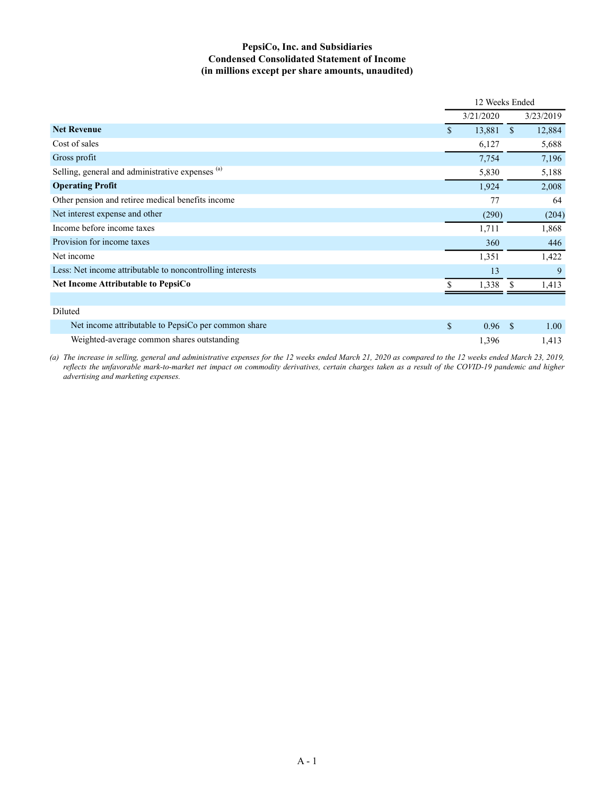### PepsiCo, Inc. and Subsidiaries Condensed Consolidated Statement of Income (in millions except per share amounts, unaudited)

|                                                           |              | 12 Weeks Ended          |           |
|-----------------------------------------------------------|--------------|-------------------------|-----------|
|                                                           |              | 3/21/2020               | 3/23/2019 |
| <b>Net Revenue</b>                                        | $\mathbb{S}$ | 13,881<br><sup>\$</sup> | 12,884    |
| Cost of sales                                             |              | 6,127                   | 5,688     |
| Gross profit                                              |              | 7,754                   | 7,196     |
| Selling, general and administrative expenses (a)          |              | 5,830                   | 5,188     |
| <b>Operating Profit</b>                                   |              | 1,924                   | 2,008     |
| Other pension and retiree medical benefits income         |              | 77                      | 64        |
| Net interest expense and other                            |              | (290)                   | (204)     |
| Income before income taxes                                |              | 1,711                   | 1,868     |
| Provision for income taxes                                |              | 360                     | 446       |
| Net income                                                |              | 1,351                   | 1,422     |
| Less: Net income attributable to noncontrolling interests |              | 13                      | 9         |
| Net Income Attributable to PepsiCo                        |              | 1,338<br>-S             | 1,413     |
|                                                           |              |                         |           |
| Diluted                                                   |              |                         |           |
| Net income attributable to PepsiCo per common share       | \$           | 0.96<br>-S              | 1.00      |
| Weighted-average common shares outstanding                |              | 1,396                   | 1,413     |

(a) The increase in selling, general and administrative expenses for the 12 weeks ended March 21, 2020 as compared to the 12 weeks ended March 23, 2019, reflects the unfavorable mark-to-market net impact on commodity derivatives, certain charges taken as a result of the COVID-19 pandemic and higher advertising and marketing expenses.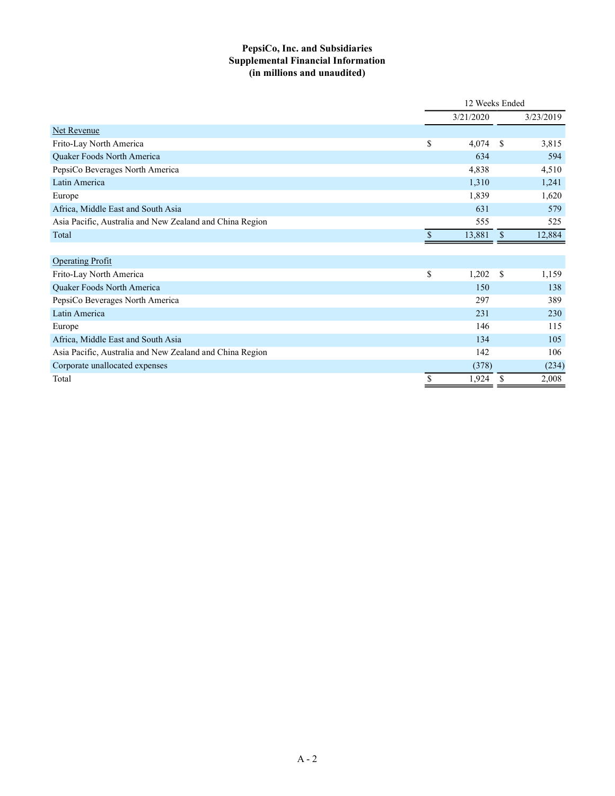### PepsiCo, Inc. and Subsidiaries Supplemental Financial Information (in millions and unaudited)

|                                                          | 12 Weeks Ended |    |           |
|----------------------------------------------------------|----------------|----|-----------|
|                                                          | 3/21/2020      |    | 3/23/2019 |
| Net Revenue                                              |                |    |           |
| Frito-Lay North America                                  | \$<br>4,074    | -S | 3,815     |
| Quaker Foods North America                               | 634            |    | 594       |
| PepsiCo Beverages North America                          | 4,838          |    | 4,510     |
| Latin America                                            | 1,310          |    | 1,241     |
| Europe                                                   | 1,839          |    | 1,620     |
| Africa, Middle East and South Asia                       | 631            |    | 579       |
| Asia Pacific, Australia and New Zealand and China Region | 555            |    | 525       |
| Total                                                    | 13,881         | \$ | 12,884    |
|                                                          |                |    |           |
| <b>Operating Profit</b>                                  |                |    |           |
| Frito-Lay North America                                  | \$<br>1,202    | S  | 1,159     |
| Quaker Foods North America                               | 150            |    | 138       |
| PepsiCo Beverages North America                          | 297            |    | 389       |
| Latin America                                            | 231            |    | 230       |
| Europe                                                   | 146            |    | 115       |
| Africa, Middle East and South Asia                       | 134            |    | 105       |
| Asia Pacific, Australia and New Zealand and China Region | 142            |    | 106       |
| Corporate unallocated expenses                           | (378)          |    | (234)     |
| Total                                                    | \$<br>1,924    | \$ | 2,008     |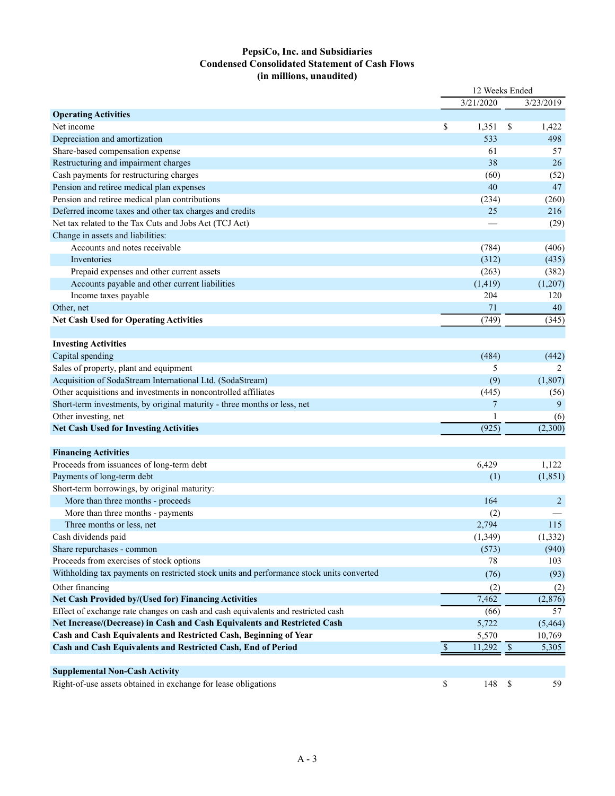### PepsiCo, Inc. and Subsidiaries Condensed Consolidated Statement of Cash Flows (in millions, unaudited)

|                                                                                          |              | 12 Weeks Ended |                      |                |
|------------------------------------------------------------------------------------------|--------------|----------------|----------------------|----------------|
|                                                                                          |              | 3/21/2020      |                      | 3/23/2019      |
| <b>Operating Activities</b>                                                              |              |                |                      |                |
| Net income                                                                               | \$           | 1,351          | \$                   | 1,422          |
| Depreciation and amortization                                                            |              | 533            |                      | 498            |
| Share-based compensation expense                                                         |              | 61             |                      | 57             |
| Restructuring and impairment charges                                                     |              | 38             |                      | 26             |
| Cash payments for restructuring charges                                                  |              | (60)           |                      | (52)           |
| Pension and retiree medical plan expenses                                                |              | 40             |                      | 47             |
| Pension and retiree medical plan contributions                                           |              | (234)          |                      | (260)          |
| Deferred income taxes and other tax charges and credits                                  |              | 25             |                      | 216            |
| Net tax related to the Tax Cuts and Jobs Act (TCJ Act)                                   |              |                |                      | (29)           |
| Change in assets and liabilities:                                                        |              |                |                      |                |
| Accounts and notes receivable                                                            |              | (784)          |                      | (406)          |
| Inventories                                                                              |              | (312)          |                      | (435)          |
| Prepaid expenses and other current assets                                                |              | (263)          |                      | (382)          |
| Accounts payable and other current liabilities                                           |              | (1, 419)       |                      | (1,207)        |
| Income taxes payable                                                                     |              | 204            |                      | 120            |
| Other, net                                                                               |              | 71             |                      | 40             |
| <b>Net Cash Used for Operating Activities</b>                                            |              | (749)          |                      | (345)          |
|                                                                                          |              |                |                      |                |
| <b>Investing Activities</b>                                                              |              |                |                      |                |
| Capital spending                                                                         |              | (484)          |                      | (442)          |
| Sales of property, plant and equipment                                                   |              | 5              |                      | 2              |
| Acquisition of SodaStream International Ltd. (SodaStream)                                |              | (9)            |                      | (1, 807)       |
| Other acquisitions and investments in noncontrolled affiliates                           |              | (445)          |                      | (56)           |
| Short-term investments, by original maturity - three months or less, net                 |              | 7              |                      | 9              |
| Other investing, net                                                                     |              | 1              |                      | (6)            |
| <b>Net Cash Used for Investing Activities</b>                                            |              | (925)          |                      | (2,300)        |
|                                                                                          |              |                |                      |                |
| <b>Financing Activities</b>                                                              |              |                |                      |                |
|                                                                                          |              |                |                      | 1,122          |
| Proceeds from issuances of long-term debt                                                |              | 6,429          |                      |                |
| Payments of long-term debt                                                               |              | (1)            |                      | (1, 851)       |
| Short-term borrowings, by original maturity:                                             |              |                |                      |                |
| More than three months - proceeds                                                        |              | 164            |                      | $\overline{2}$ |
| More than three months - payments                                                        |              | (2)            |                      |                |
| Three months or less, net                                                                |              | 2,794          |                      | 115            |
| Cash dividends paid                                                                      |              | (1, 349)       |                      | (1, 332)       |
| Share repurchases - common                                                               |              | (573)          |                      | (940)          |
| Proceeds from exercises of stock options                                                 |              | 78             |                      | 103            |
| Withholding tax payments on restricted stock units and performance stock units converted |              | (76)           |                      | (93)           |
| Other financing                                                                          |              | (2)            |                      | (2)            |
| Net Cash Provided by/(Used for) Financing Activities                                     |              | 7,462          |                      | (2,876)        |
| Effect of exchange rate changes on cash and cash equivalents and restricted cash         |              | (66)           |                      | 57             |
| Net Increase/(Decrease) in Cash and Cash Equivalents and Restricted Cash                 |              | 5,722          |                      | (5, 464)       |
| Cash and Cash Equivalents and Restricted Cash, Beginning of Year                         |              | 5,570          |                      | 10,769         |
| Cash and Cash Equivalents and Restricted Cash, End of Period                             | $\mathbb{S}$ | 11,292         | $\sqrt{\frac{2}{3}}$ | 5,305          |
|                                                                                          |              |                |                      |                |
| <b>Supplemental Non-Cash Activity</b>                                                    |              |                |                      |                |
| Right-of-use assets obtained in exchange for lease obligations                           | \$           | 148 \$         |                      | 59             |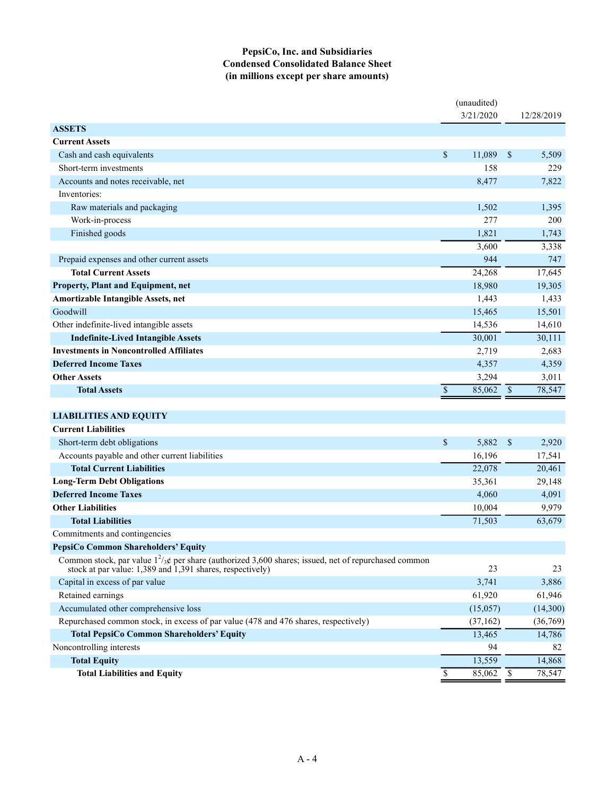### PepsiCo, Inc. and Subsidiaries Condensed Consolidated Balance Sheet (in millions except per share amounts)

|                                                                                                                          |             | (unaudited)<br>3/21/2020 |               | 12/28/2019 |
|--------------------------------------------------------------------------------------------------------------------------|-------------|--------------------------|---------------|------------|
| <b>ASSETS</b>                                                                                                            |             |                          |               |            |
| <b>Current Assets</b>                                                                                                    |             |                          |               |            |
| Cash and cash equivalents                                                                                                | \$          | 11,089                   | <sup>\$</sup> | 5,509      |
| Short-term investments                                                                                                   |             | 158                      |               | 229        |
| Accounts and notes receivable, net                                                                                       |             | 8,477                    |               | 7,822      |
| Inventories:                                                                                                             |             |                          |               |            |
| Raw materials and packaging                                                                                              |             | 1,502                    |               | 1,395      |
| Work-in-process                                                                                                          |             | 277                      |               | 200        |
| Finished goods                                                                                                           |             | 1,821                    |               | 1,743      |
|                                                                                                                          |             | 3,600                    |               | 3,338      |
| Prepaid expenses and other current assets                                                                                |             | 944                      |               | 747        |
| <b>Total Current Assets</b>                                                                                              |             | 24,268                   |               | 17,645     |
| Property, Plant and Equipment, net                                                                                       |             | 18,980                   |               | 19,305     |
| Amortizable Intangible Assets, net                                                                                       |             | 1,443                    |               | 1,433      |
| Goodwill                                                                                                                 |             | 15,465                   |               | 15,501     |
| Other indefinite-lived intangible assets                                                                                 |             | 14,536                   |               | 14,610     |
| <b>Indefinite-Lived Intangible Assets</b>                                                                                |             | 30,001                   |               | 30,111     |
| <b>Investments in Noncontrolled Affiliates</b>                                                                           |             |                          |               |            |
| <b>Deferred Income Taxes</b>                                                                                             |             | 2,719                    |               | 2,683      |
| <b>Other Assets</b>                                                                                                      |             | 4,357                    |               | 4,359      |
|                                                                                                                          |             | 3,294                    |               | 3,011      |
| <b>Total Assets</b>                                                                                                      | $\mathbb S$ | 85,062                   | $\mathbb{S}$  | 78,547     |
| <b>LIABILITIES AND EQUITY</b>                                                                                            |             |                          |               |            |
| <b>Current Liabilities</b>                                                                                               |             |                          |               |            |
| Short-term debt obligations                                                                                              | \$          | 5,882                    | \$            | 2,920      |
| Accounts payable and other current liabilities                                                                           |             | 16,196                   |               | 17,541     |
| <b>Total Current Liabilities</b>                                                                                         |             | 22,078                   |               | 20,461     |
| <b>Long-Term Debt Obligations</b>                                                                                        |             | 35,361                   |               | 29,148     |
| <b>Deferred Income Taxes</b>                                                                                             |             | 4,060                    |               | 4,091      |
| <b>Other Liabilities</b>                                                                                                 |             | 10,004                   |               | 9,979      |
| <b>Total Liabilities</b>                                                                                                 |             | 71,503                   |               | 63,679     |
| Commitments and contingencies                                                                                            |             |                          |               |            |
| PepsiCo Common Shareholders' Equity                                                                                      |             |                          |               |            |
| Common stock, par value $1^2/\cancel{3}\cancel{6}$ per share (authorized 3,600 shares; issued, net of repurchased common |             |                          |               |            |
| stock at par value: 1,389 and 1,391 shares, respectively)                                                                |             | 23                       |               | 23         |
| Capital in excess of par value                                                                                           |             | 3,741                    |               | 3,886      |
| Retained earnings                                                                                                        |             | 61,920                   |               | 61,946     |
| Accumulated other comprehensive loss                                                                                     |             | (15,057)                 |               | (14,300)   |
| Repurchased common stock, in excess of par value (478 and 476 shares, respectively)                                      |             | (37, 162)                |               | (36,769)   |
| <b>Total PepsiCo Common Shareholders' Equity</b>                                                                         |             | 13,465                   |               | 14,786     |
| Noncontrolling interests                                                                                                 |             | 94                       |               | 82         |
| <b>Total Equity</b>                                                                                                      |             | 13,559                   |               | 14,868     |
| <b>Total Liabilities and Equity</b>                                                                                      | \$          | 85,062                   | \$            | 78,547     |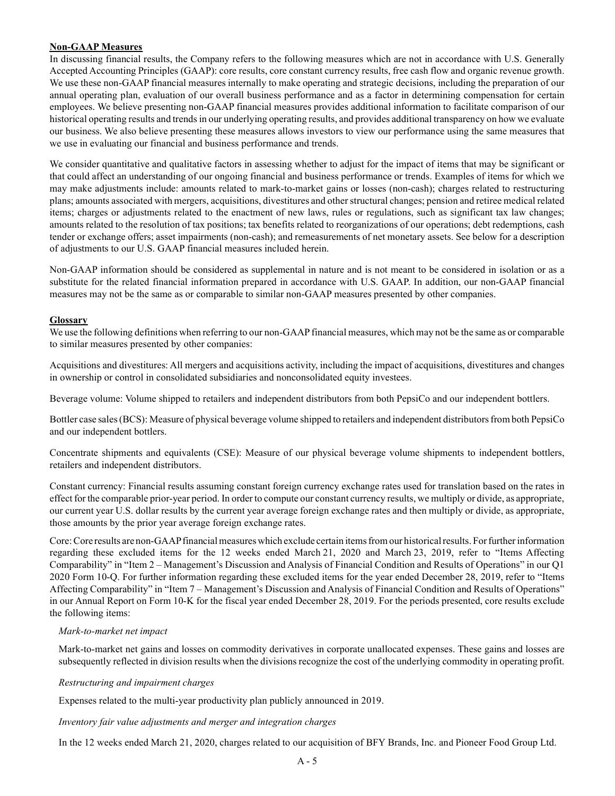#### Non-GAAP Measures

In discussing financial results, the Company refers to the following measures which are not in accordance with U.S. Generally Accepted Accounting Principles (GAAP): core results, core constant currency results, free cash flow and organic revenue growth. We use these non-GAAP financial measures internally to make operating and strategic decisions, including the preparation of our annual operating plan, evaluation of our overall business performance and as a factor in determining compensation for certain employees. We believe presenting non-GAAP financial measures provides additional information to facilitate comparison of our historical operating results and trends in our underlying operating results, and provides additional transparency on how we evaluate our business. We also believe presenting these measures allows investors to view our performance using the same measures that we use in evaluating our financial and business performance and trends.

We consider quantitative and qualitative factors in assessing whether to adjust for the impact of items that may be significant or that could affect an understanding of our ongoing financial and business performance or trends. Examples of items for which we may make adjustments include: amounts related to mark-to-market gains or losses (non-cash); charges related to restructuring plans; amounts associated with mergers, acquisitions, divestitures and other structural changes; pension and retiree medical related items; charges or adjustments related to the enactment of new laws, rules or regulations, such as significant tax law changes; amounts related to the resolution of tax positions; tax benefits related to reorganizations of our operations; debt redemptions, cash tender or exchange offers; asset impairments (non-cash); and remeasurements of net monetary assets. See below for a description of adjustments to our U.S. GAAP financial measures included herein.

Non-GAAP information should be considered as supplemental in nature and is not meant to be considered in isolation or as a substitute for the related financial information prepared in accordance with U.S. GAAP. In addition, our non-GAAP financial measures may not be the same as or comparable to similar non-GAAP measures presented by other companies.

### Glossary

We use the following definitions when referring to our non-GAAP financial measures, which may not be the same as or comparable to similar measures presented by other companies:

Acquisitions and divestitures: All mergers and acquisitions activity, including the impact of acquisitions, divestitures and changes in ownership or control in consolidated subsidiaries and nonconsolidated equity investees.

Beverage volume: Volume shipped to retailers and independent distributors from both PepsiCo and our independent bottlers.

Bottler case sales (BCS): Measure of physical beverage volume shipped to retailers and independent distributors from both PepsiCo and our independent bottlers.

Concentrate shipments and equivalents (CSE): Measure of our physical beverage volume shipments to independent bottlers, retailers and independent distributors.

Constant currency: Financial results assuming constant foreign currency exchange rates used for translation based on the rates in effect for the comparable prior-year period. In order to compute our constant currency results, we multiply or divide, as appropriate, our current year U.S. dollar results by the current year average foreign exchange rates and then multiply or divide, as appropriate, those amounts by the prior year average foreign exchange rates.

Core: Core results are non-GAAP financial measures which exclude certain items from our historical results. For further information regarding these excluded items for the 12 weeks ended March 21, 2020 and March 23, 2019, refer to "Items Affecting Comparability" in "Item 2 – Management's Discussion and Analysis of Financial Condition and Results of Operations" in our Q1 2020 Form 10-Q. For further information regarding these excluded items for the year ended December 28, 2019, refer to "Items Affecting Comparability" in "Item 7 – Management's Discussion and Analysis of Financial Condition and Results of Operations" in our Annual Report on Form 10-K for the fiscal year ended December 28, 2019. For the periods presented, core results exclude the following items:

#### Mark-to-market net impact

Mark-to-market net gains and losses on commodity derivatives in corporate unallocated expenses. These gains and losses are subsequently reflected in division results when the divisions recognize the cost of the underlying commodity in operating profit.

#### Restructuring and impairment charges

Expenses related to the multi-year productivity plan publicly announced in 2019.

#### Inventory fair value adjustments and merger and integration charges

In the 12 weeks ended March 21, 2020, charges related to our acquisition of BFY Brands, Inc. and Pioneer Food Group Ltd.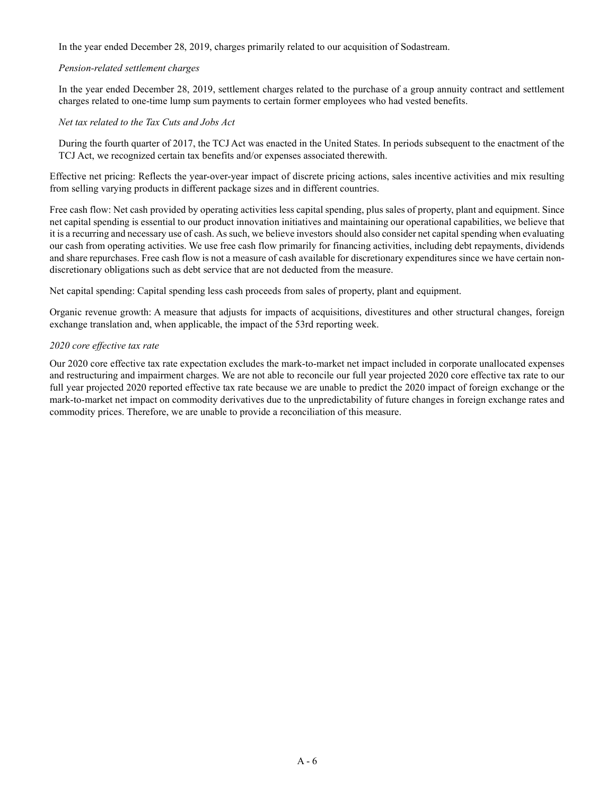In the year ended December 28, 2019, charges primarily related to our acquisition of Sodastream.

#### Pension-related settlement charges

In the year ended December 28, 2019, settlement charges related to the purchase of a group annuity contract and settlement charges related to one-time lump sum payments to certain former employees who had vested benefits.

#### Net tax related to the Tax Cuts and Jobs Act

During the fourth quarter of 2017, the TCJ Act was enacted in the United States. In periods subsequent to the enactment of the TCJ Act, we recognized certain tax benefits and/or expenses associated therewith.

Effective net pricing: Reflects the year-over-year impact of discrete pricing actions, sales incentive activities and mix resulting from selling varying products in different package sizes and in different countries.

Free cash flow: Net cash provided by operating activities less capital spending, plus sales of property, plant and equipment. Since net capital spending is essential to our product innovation initiatives and maintaining our operational capabilities, we believe that it is a recurring and necessary use of cash. As such, we believe investors should also consider net capital spending when evaluating our cash from operating activities. We use free cash flow primarily for financing activities, including debt repayments, dividends and share repurchases. Free cash flow is not a measure of cash available for discretionary expenditures since we have certain nondiscretionary obligations such as debt service that are not deducted from the measure.

Net capital spending: Capital spending less cash proceeds from sales of property, plant and equipment.

Organic revenue growth: A measure that adjusts for impacts of acquisitions, divestitures and other structural changes, foreign exchange translation and, when applicable, the impact of the 53rd reporting week.

#### 2020 core effective tax rate

Our 2020 core effective tax rate expectation excludes the mark-to-market net impact included in corporate unallocated expenses and restructuring and impairment charges. We are not able to reconcile our full year projected 2020 core effective tax rate to our full year projected 2020 reported effective tax rate because we are unable to predict the 2020 impact of foreign exchange or the mark-to-market net impact on commodity derivatives due to the unpredictability of future changes in foreign exchange rates and commodity prices. Therefore, we are unable to provide a reconciliation of this measure.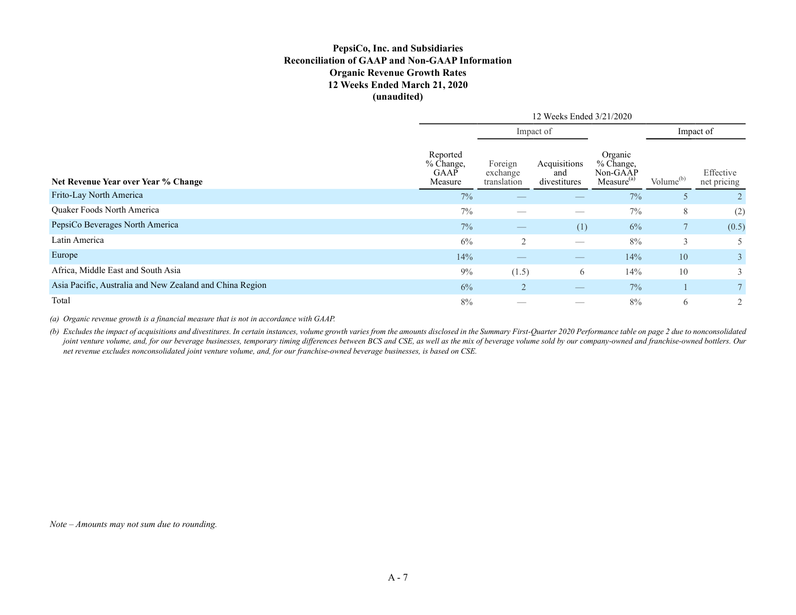|                                                          | <b>Reconciliation of GAAP and Non-GAAP Information</b><br><b>Organic Revenue Growth Rates</b><br>12 Weeks Ended March 21, 2020<br>(unaudited) |       |                                    |                                     |                                                            |                       |                          |
|----------------------------------------------------------|-----------------------------------------------------------------------------------------------------------------------------------------------|-------|------------------------------------|-------------------------------------|------------------------------------------------------------|-----------------------|--------------------------|
|                                                          |                                                                                                                                               |       |                                    | 12 Weeks Ended 3/21/2020            |                                                            |                       |                          |
|                                                          |                                                                                                                                               |       |                                    | Impact of                           |                                                            |                       | Impact of                |
| Net Revenue Year over Year % Change                      | Reported<br>% Change,<br>GAAP<br>Measure                                                                                                      |       | Foreign<br>exchange<br>translation | Acquisitions<br>and<br>divestitures | Organic<br>% Change,<br>Non-GAAP<br>Measure <sup>(a)</sup> | Volume <sup>(b)</sup> | Effective<br>net pricing |
| Frito-Lay North America                                  |                                                                                                                                               | $7\%$ |                                    |                                     | $7\%$                                                      | $5\overline{)}$       | $\overline{2}$           |
| Quaker Foods North America                               |                                                                                                                                               | 7%    |                                    | $\hspace{0.1mm}-\hspace{0.1mm}$     | $7\%$                                                      | $8\,$                 | (2)                      |
| PepsiCo Beverages North America                          |                                                                                                                                               | $7\%$ | $\qquad \qquad -$                  | (1)                                 | 6%                                                         | $\,7$                 | (0.5)                    |
| Latin America                                            |                                                                                                                                               | $6\%$ | $\sqrt{2}$                         | $\hspace{0.1mm}-\hspace{0.1mm}$     | $8\%$                                                      | $\mathfrak{Z}$        | 5                        |
| Europe                                                   |                                                                                                                                               | 14%   | $\hspace{0.1mm}-\hspace{0.1mm}$    | —                                   | 14%                                                        | 10                    | $\mathbf{3}$             |
| Africa, Middle East and South Asia                       |                                                                                                                                               | $9\%$ | (1.5)                              | 6                                   | 14%                                                        | 10                    | $\mathfrak{Z}$           |
| Asia Pacific, Australia and New Zealand and China Region |                                                                                                                                               | $6\%$ | $\overline{2}$                     | $\overline{\phantom{m}}$            | $7\%$                                                      | $\mathbf{1}$          | $\overline{7}$           |
| Total                                                    |                                                                                                                                               | $8\%$ |                                    | $\overline{\phantom{0}}$            | $8\%$                                                      | 6                     | $\overline{2}$           |
|                                                          |                                                                                                                                               |       |                                    |                                     |                                                            |                       |                          |
|                                                          |                                                                                                                                               |       |                                    |                                     |                                                            |                       |                          |
| $Note - A$ mounts may not sum due to rounding.           |                                                                                                                                               |       |                                    |                                     |                                                            |                       |                          |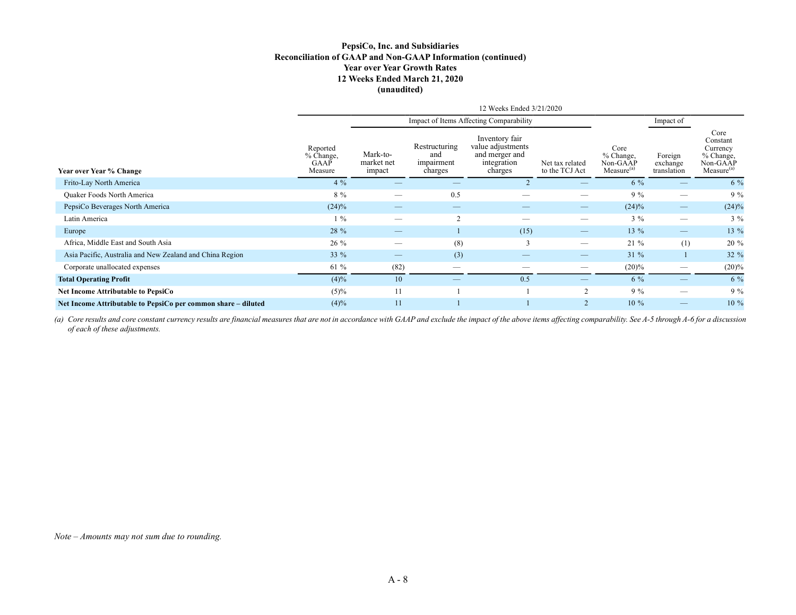|                                                                                                                                                                                                                         | Reconciliation of GAAP and Non-GAAP Information (continued) | <b>Year over Year Growth Rates</b><br>(unaudited) | 12 Weeks Ended March 21, 2020                 |                                                                                 |                                   |                                                         |                                    |                                                                                      |
|-------------------------------------------------------------------------------------------------------------------------------------------------------------------------------------------------------------------------|-------------------------------------------------------------|---------------------------------------------------|-----------------------------------------------|---------------------------------------------------------------------------------|-----------------------------------|---------------------------------------------------------|------------------------------------|--------------------------------------------------------------------------------------|
|                                                                                                                                                                                                                         |                                                             |                                                   |                                               | 12 Weeks Ended 3/21/2020                                                        |                                   |                                                         |                                    |                                                                                      |
|                                                                                                                                                                                                                         |                                                             |                                                   |                                               | Impact of Items Affecting Comparability                                         |                                   | Impact of                                               |                                    |                                                                                      |
| Year over Year % Change                                                                                                                                                                                                 | Reported<br>% Change,<br>GAAP<br>Measure                    | Mark-to-<br>market net<br>impact                  | Restructuring<br>and<br>impairment<br>charges | Inventory fair<br>value adjustments<br>and merger and<br>integration<br>charges | Net tax related<br>to the TCJ Act | Core<br>% Change,<br>Non-GAAP<br>Measure <sup>(a)</sup> | Foreign<br>exchange<br>translation | Core<br>Constant<br>Currency<br>% Change,<br>$Non-GA\AA P$<br>Measure <sup>(a)</sup> |
| Frito-Lay North America                                                                                                                                                                                                 | $4\%$                                                       | $\hspace{0.1mm}-\hspace{0.1mm}$                   | $\longrightarrow$                             | $\overline{2}$                                                                  | $\overline{\phantom{a}}$          | $6\%$                                                   | $\longrightarrow$                  | $6\%$                                                                                |
| Quaker Foods North America                                                                                                                                                                                              | $8 \ \%$                                                    | $\overbrace{\qquad \qquad }^{ }$                  | 0.5                                           | $\overline{\phantom{m}}$                                                        | $\hspace{0.1mm}-\hspace{0.1mm}$   | $9\%$                                                   | $\overline{\phantom{m}}$           | $9\%$                                                                                |
| PepsiCo Beverages North America                                                                                                                                                                                         | $(24)\%$                                                    | $\qquad \qquad -$                                 | $\hspace{0.1mm}-\hspace{0.1mm}$               | $\qquad \qquad -$                                                               | $\hspace{0.1mm}-\hspace{0.1mm}$   | $(24)\%$                                                | $\qquad \qquad -$                  | $(24)\%$                                                                             |
| Latin America                                                                                                                                                                                                           | $1\%$                                                       | $\overline{\phantom{0}}$                          | $\overline{2}$                                | $\overline{\phantom{m}}$                                                        | $\hspace{0.1mm}-\hspace{0.1mm}$   | $3\%$                                                   | $\overline{\phantom{m}}$           | $3\%$                                                                                |
| Europe                                                                                                                                                                                                                  | 28 %                                                        | $\overline{\phantom{m}}$                          | $\mathbf{1}$                                  | (15)                                                                            | $\overline{\phantom{m}}$          | 13 %                                                    | $\overline{\phantom{m}}$           | 13 %                                                                                 |
| Africa, Middle East and South Asia                                                                                                                                                                                      | $26~\%$                                                     |                                                   | (8)                                           | $\overline{\mathbf{3}}$                                                         | $\overline{\phantom{m}}$          | $21~\%$                                                 | (1)                                | 20 %                                                                                 |
| Asia Pacific, Australia and New Zealand and China Region                                                                                                                                                                | 33 %                                                        | $\overline{\phantom{m}}$                          | (3)                                           | $\overline{\phantom{m}}$                                                        | $\overline{\phantom{m}}$          | $31 \%$                                                 | $\vert 1 \vert$                    | 32 %                                                                                 |
| Corporate unallocated expenses                                                                                                                                                                                          | $61~\%$                                                     | (82)                                              |                                               | $\overline{\phantom{m}}$                                                        | $\overline{\phantom{m}}$          | (20)%                                                   | $\overline{\phantom{m}}$           | (20)%                                                                                |
| <b>Total Operating Profit</b>                                                                                                                                                                                           | $(4)\%$                                                     | 10                                                | $\overline{\phantom{m}}$                      | 0.5                                                                             | $\overline{\phantom{m}}$          | $6\%$                                                   | $\qquad \qquad -$                  | $6\%$                                                                                |
| Net Income Attributable to PepsiCo                                                                                                                                                                                      | $(5)\%$                                                     | 11                                                | $\overline{1}$                                | -1                                                                              | 2                                 | $9\%$                                                   | $\overline{\phantom{m}}$           | $9\%$                                                                                |
| Net Income Attributable to PepsiCo per common share - diluted                                                                                                                                                           | $(4)\%$                                                     | $11\,$                                            |                                               | $\perp$                                                                         | $\overline{2}$                    | $10 \ \%$                                               |                                    | $10\%$                                                                               |
| of each of these adjustments.                                                                                                                                                                                           |                                                             |                                                   |                                               |                                                                                 |                                   |                                                         |                                    |                                                                                      |
| (a) Core results and core constant currency results are financial measures that are not in accordance with GAAP and exclude the impact of the above items affecting comparability. See A-5 through A-6 for a discussion |                                                             |                                                   |                                               |                                                                                 |                                   |                                                         |                                    |                                                                                      |
| Note - Amounts may not sum due to rounding.                                                                                                                                                                             |                                                             |                                                   |                                               |                                                                                 |                                   |                                                         |                                    |                                                                                      |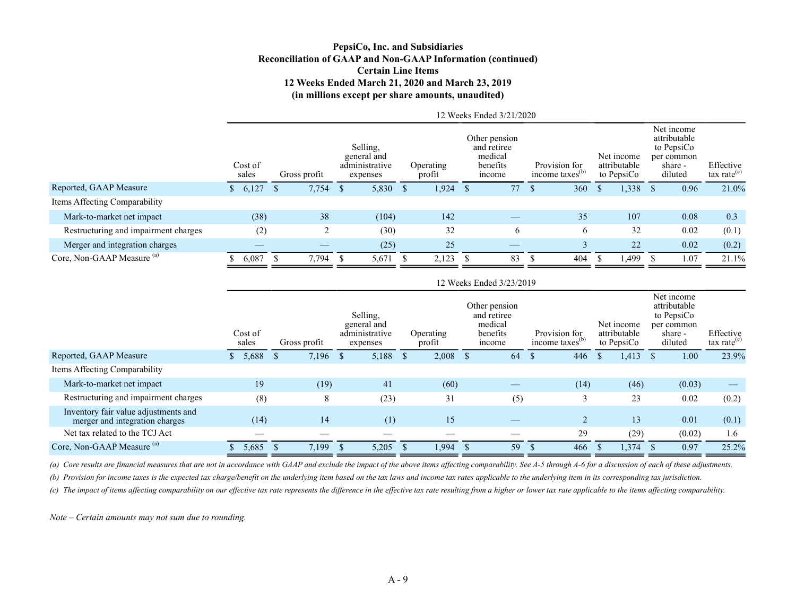|                                      |                  |    |              |    |                                                       |    |                     | $12$ weeks Effect $3/21/2020$                                 |    |                                              |              |                                          |                                                                              |                                      |
|--------------------------------------|------------------|----|--------------|----|-------------------------------------------------------|----|---------------------|---------------------------------------------------------------|----|----------------------------------------------|--------------|------------------------------------------|------------------------------------------------------------------------------|--------------------------------------|
|                                      | Cost of<br>sales |    | Gross profit |    | Selling,<br>general and<br>administrative<br>expenses |    | Operating<br>profit | Other pension<br>and retiree<br>medical<br>benefits<br>income |    | Provision for<br>income taxes <sup>(b)</sup> |              | Net income<br>attributable<br>to PepsiCo | Net income<br>attributable<br>to PepsiCo<br>per common<br>share -<br>diluted | Effective<br>$\text{tax rate}^{(c)}$ |
| Reported, GAAP Measure               | \$6,127          | -S | 7,754        | -S | 5,830                                                 | -S | 1,924               | 77                                                            | -8 | 360                                          | <sup>S</sup> | 1,338                                    | 0.96                                                                         | 21.0%                                |
| Items Affecting Comparability        |                  |    |              |    |                                                       |    |                     |                                                               |    |                                              |              |                                          |                                                                              |                                      |
| Mark-to-market net impact            | (38)             |    | 38           |    | (104)                                                 |    | 142                 |                                                               |    | 35                                           |              | 107                                      | 0.08                                                                         | 0.3                                  |
| Restructuring and impairment charges | (2)              |    | ∠            |    | (30)                                                  |    | 32                  | 6                                                             |    | b                                            |              | 32                                       | 0.02                                                                         | (0.1)                                |
| Merger and integration charges       |                  |    |              |    | (25)                                                  |    | 25                  |                                                               |    |                                              |              | 22                                       | 0.02                                                                         | (0.2)                                |
| Core, Non-GAAP Measure (a)           | 6,087            |    | 7,794        | -8 | 5,671                                                 |    | 2,123               | 83                                                            |    | 404                                          |              | ,499                                     | 1.07                                                                         | 21.1%                                |

| 12 Weeks Ended 3/21/2020<br>Net income<br>Other pension<br>attributable<br>Selling,<br>and retiree<br>to PepsiCo<br>general and<br>medical<br>Net income<br>per common<br>Cost of<br>administrative<br>benefits<br>attributable<br>share -<br>Effective<br>Operating<br>Provision for<br>income taxes <sup>(b)</sup><br>$\text{tax rate}^{(c)}$<br>Gross profit<br>sales<br>to PepsiCo<br>diluted<br>profit<br>income<br>expenses<br>Reported, GAAP Measure<br>77S<br>\$6,127<br>7,754<br>5,830<br>$\sqrt{\ }$<br>$1,924$ \$<br>360<br>$1,338$ \$<br>21.0%<br>$\sqrt{S}$<br>$\sqrt{3}$<br>0.96<br>$\mathbb{S}$<br>Items Affecting Comparability<br>(38)<br>142<br>107<br>$0.08\,$<br>0.3<br>Mark-to-market net impact<br>38<br>(104)<br>35<br>(2)<br>$\overline{2}$<br>32<br>32<br>0.02<br>(0.1)<br>Restructuring and impairment charges<br>(30)<br>6<br>6<br>$25\,$<br>$22\,$<br>0.02<br>Merger and integration charges<br>(25)<br>$\mathbf{3}$<br>(0.2)<br>$\hspace{0.1mm}-\hspace{0.1mm}$<br>$\qquad \qquad -$<br>$\hspace{0.1mm}-\hspace{0.1mm}$<br>Core, Non-GAAP Measure <sup>(a)</sup><br>7,794<br>2,123<br>404<br>1,499<br>$\mathbb{S}$<br>5,671<br>$\mathbf{\hat{s}}$<br>83<br>1.07<br>21.1%<br>6,087<br>\$<br>\$<br>\$<br><sup>S</sup><br>-\$<br>12 Weeks Ended 3/23/2019<br>Net income<br>Other pension<br>attributable<br>Selling,<br>and retiree<br>to PepsiCo<br>medical<br>general and<br>Net income<br>per common<br>Cost of<br>benefits<br>administrative<br>Provision for<br>attributable<br>share -<br>Effective<br>Operating<br>income taxes <sup>(b)</sup><br>$\text{tax rate}^{(c)}$<br>Gross profit<br>to PepsiCo<br>diluted<br>sales<br>profit<br>income<br>expenses<br>Reported, GAAP Measure<br>\$5,688<br>$7,196$ \$<br>5,188<br>$\mathbb{S}$<br>2,008<br>$\mathcal{S}$<br>64S<br>$1,413$ \$<br>446<br>1.00<br>23.9%<br>$\mathbb{S}$<br>$\mathbb{S}$<br>Items Affecting Comparability<br>Mark-to-market net impact<br>19<br>(19)<br>(60)<br>(14)<br>(46)<br>(0.03)<br>41<br>$\qquad \qquad -$<br>$\overline{\phantom{0}}$<br>Restructuring and impairment charges<br>(5)<br>(23)<br>31<br>$\overline{3}$<br>$0.02\,$<br>(8)<br>23<br>(0.2)<br>8<br>Inventory fair value adjustments and<br>$\overline{2}$<br>13<br>(14)<br>14<br>(1)<br>15<br>0.01<br>(0.1)<br>merger and integration charges<br>$\overbrace{\phantom{13333}}$<br>Net tax related to the TCJ Act<br>29<br>(29)<br>(0.02)<br>1.6<br>$\equiv$<br>$\equiv$<br>$\overline{\phantom{m}}$<br>Core, Non-GAAP Measure <sup>(a)</sup><br>1,994<br>59 \$<br>5,685<br>7,199<br>5,205<br>$\sqrt{S}$<br>466<br>$1,374$ \$<br>25.2%<br>$\mathbf{\hat{S}}$<br>$\mathbb{S}$<br>$\mathbf{\hat{s}}$<br>0.97<br>-S<br>$A - 9$ |  | PepsiCo, Inc. and Subsidiaries<br>12 Weeks Ended March 21, 2020 and March 23, 2019<br>(in millions except per share amounts, unaudited) | <b>Certain Line Items</b> | Reconciliation of GAAP and Non-GAAP Information (continued) |  |  |
|-------------------------------------------------------------------------------------------------------------------------------------------------------------------------------------------------------------------------------------------------------------------------------------------------------------------------------------------------------------------------------------------------------------------------------------------------------------------------------------------------------------------------------------------------------------------------------------------------------------------------------------------------------------------------------------------------------------------------------------------------------------------------------------------------------------------------------------------------------------------------------------------------------------------------------------------------------------------------------------------------------------------------------------------------------------------------------------------------------------------------------------------------------------------------------------------------------------------------------------------------------------------------------------------------------------------------------------------------------------------------------------------------------------------------------------------------------------------------------------------------------------------------------------------------------------------------------------------------------------------------------------------------------------------------------------------------------------------------------------------------------------------------------------------------------------------------------------------------------------------------------------------------------------------------------------------------------------------------------------------------------------------------------------------------------------------------------------------------------------------------------------------------------------------------------------------------------------------------------------------------------------------------------------------------------------------------------------------------------------------------------------------------------------------------------------------------------------------------------------------------------------------------------------------------------------------------------------------------------------------------------------------------------------------------------------------------------|--|-----------------------------------------------------------------------------------------------------------------------------------------|---------------------------|-------------------------------------------------------------|--|--|
| (a) Core results are financial measures that are not in accordance with GAAP and exclude the impact of the above items affecting comparability. See A-5 through A-6 for a discussion of each of these adjustments.<br>(b) Provision for income taxes is the expected tax charge/benefit on the underlying item based on the tax laws and income tax rates applicable to the underlying item in its corresponding tax jurisdiction.<br>(c) The impact of items affecting comparability on our effective tax rate represents the difference in the effective tax rate resulting from a higher or lower tax rate applicable to the items affecting comparability.<br>Note - Certain amounts may not sum due to rounding.                                                                                                                                                                                                                                                                                                                                                                                                                                                                                                                                                                                                                                                                                                                                                                                                                                                                                                                                                                                                                                                                                                                                                                                                                                                                                                                                                                                                                                                                                                                                                                                                                                                                                                                                                                                                                                                                                                                                                                                 |  |                                                                                                                                         |                           |                                                             |  |  |
|                                                                                                                                                                                                                                                                                                                                                                                                                                                                                                                                                                                                                                                                                                                                                                                                                                                                                                                                                                                                                                                                                                                                                                                                                                                                                                                                                                                                                                                                                                                                                                                                                                                                                                                                                                                                                                                                                                                                                                                                                                                                                                                                                                                                                                                                                                                                                                                                                                                                                                                                                                                                                                                                                                       |  |                                                                                                                                         |                           |                                                             |  |  |
|                                                                                                                                                                                                                                                                                                                                                                                                                                                                                                                                                                                                                                                                                                                                                                                                                                                                                                                                                                                                                                                                                                                                                                                                                                                                                                                                                                                                                                                                                                                                                                                                                                                                                                                                                                                                                                                                                                                                                                                                                                                                                                                                                                                                                                                                                                                                                                                                                                                                                                                                                                                                                                                                                                       |  |                                                                                                                                         |                           |                                                             |  |  |
|                                                                                                                                                                                                                                                                                                                                                                                                                                                                                                                                                                                                                                                                                                                                                                                                                                                                                                                                                                                                                                                                                                                                                                                                                                                                                                                                                                                                                                                                                                                                                                                                                                                                                                                                                                                                                                                                                                                                                                                                                                                                                                                                                                                                                                                                                                                                                                                                                                                                                                                                                                                                                                                                                                       |  |                                                                                                                                         |                           |                                                             |  |  |
|                                                                                                                                                                                                                                                                                                                                                                                                                                                                                                                                                                                                                                                                                                                                                                                                                                                                                                                                                                                                                                                                                                                                                                                                                                                                                                                                                                                                                                                                                                                                                                                                                                                                                                                                                                                                                                                                                                                                                                                                                                                                                                                                                                                                                                                                                                                                                                                                                                                                                                                                                                                                                                                                                                       |  |                                                                                                                                         |                           |                                                             |  |  |
|                                                                                                                                                                                                                                                                                                                                                                                                                                                                                                                                                                                                                                                                                                                                                                                                                                                                                                                                                                                                                                                                                                                                                                                                                                                                                                                                                                                                                                                                                                                                                                                                                                                                                                                                                                                                                                                                                                                                                                                                                                                                                                                                                                                                                                                                                                                                                                                                                                                                                                                                                                                                                                                                                                       |  |                                                                                                                                         |                           |                                                             |  |  |
|                                                                                                                                                                                                                                                                                                                                                                                                                                                                                                                                                                                                                                                                                                                                                                                                                                                                                                                                                                                                                                                                                                                                                                                                                                                                                                                                                                                                                                                                                                                                                                                                                                                                                                                                                                                                                                                                                                                                                                                                                                                                                                                                                                                                                                                                                                                                                                                                                                                                                                                                                                                                                                                                                                       |  |                                                                                                                                         |                           |                                                             |  |  |
|                                                                                                                                                                                                                                                                                                                                                                                                                                                                                                                                                                                                                                                                                                                                                                                                                                                                                                                                                                                                                                                                                                                                                                                                                                                                                                                                                                                                                                                                                                                                                                                                                                                                                                                                                                                                                                                                                                                                                                                                                                                                                                                                                                                                                                                                                                                                                                                                                                                                                                                                                                                                                                                                                                       |  |                                                                                                                                         |                           |                                                             |  |  |
|                                                                                                                                                                                                                                                                                                                                                                                                                                                                                                                                                                                                                                                                                                                                                                                                                                                                                                                                                                                                                                                                                                                                                                                                                                                                                                                                                                                                                                                                                                                                                                                                                                                                                                                                                                                                                                                                                                                                                                                                                                                                                                                                                                                                                                                                                                                                                                                                                                                                                                                                                                                                                                                                                                       |  |                                                                                                                                         |                           |                                                             |  |  |
|                                                                                                                                                                                                                                                                                                                                                                                                                                                                                                                                                                                                                                                                                                                                                                                                                                                                                                                                                                                                                                                                                                                                                                                                                                                                                                                                                                                                                                                                                                                                                                                                                                                                                                                                                                                                                                                                                                                                                                                                                                                                                                                                                                                                                                                                                                                                                                                                                                                                                                                                                                                                                                                                                                       |  |                                                                                                                                         |                           |                                                             |  |  |
|                                                                                                                                                                                                                                                                                                                                                                                                                                                                                                                                                                                                                                                                                                                                                                                                                                                                                                                                                                                                                                                                                                                                                                                                                                                                                                                                                                                                                                                                                                                                                                                                                                                                                                                                                                                                                                                                                                                                                                                                                                                                                                                                                                                                                                                                                                                                                                                                                                                                                                                                                                                                                                                                                                       |  |                                                                                                                                         |                           |                                                             |  |  |
|                                                                                                                                                                                                                                                                                                                                                                                                                                                                                                                                                                                                                                                                                                                                                                                                                                                                                                                                                                                                                                                                                                                                                                                                                                                                                                                                                                                                                                                                                                                                                                                                                                                                                                                                                                                                                                                                                                                                                                                                                                                                                                                                                                                                                                                                                                                                                                                                                                                                                                                                                                                                                                                                                                       |  |                                                                                                                                         |                           |                                                             |  |  |
|                                                                                                                                                                                                                                                                                                                                                                                                                                                                                                                                                                                                                                                                                                                                                                                                                                                                                                                                                                                                                                                                                                                                                                                                                                                                                                                                                                                                                                                                                                                                                                                                                                                                                                                                                                                                                                                                                                                                                                                                                                                                                                                                                                                                                                                                                                                                                                                                                                                                                                                                                                                                                                                                                                       |  |                                                                                                                                         |                           |                                                             |  |  |
|                                                                                                                                                                                                                                                                                                                                                                                                                                                                                                                                                                                                                                                                                                                                                                                                                                                                                                                                                                                                                                                                                                                                                                                                                                                                                                                                                                                                                                                                                                                                                                                                                                                                                                                                                                                                                                                                                                                                                                                                                                                                                                                                                                                                                                                                                                                                                                                                                                                                                                                                                                                                                                                                                                       |  |                                                                                                                                         |                           |                                                             |  |  |
|                                                                                                                                                                                                                                                                                                                                                                                                                                                                                                                                                                                                                                                                                                                                                                                                                                                                                                                                                                                                                                                                                                                                                                                                                                                                                                                                                                                                                                                                                                                                                                                                                                                                                                                                                                                                                                                                                                                                                                                                                                                                                                                                                                                                                                                                                                                                                                                                                                                                                                                                                                                                                                                                                                       |  |                                                                                                                                         |                           |                                                             |  |  |
|                                                                                                                                                                                                                                                                                                                                                                                                                                                                                                                                                                                                                                                                                                                                                                                                                                                                                                                                                                                                                                                                                                                                                                                                                                                                                                                                                                                                                                                                                                                                                                                                                                                                                                                                                                                                                                                                                                                                                                                                                                                                                                                                                                                                                                                                                                                                                                                                                                                                                                                                                                                                                                                                                                       |  |                                                                                                                                         |                           |                                                             |  |  |
|                                                                                                                                                                                                                                                                                                                                                                                                                                                                                                                                                                                                                                                                                                                                                                                                                                                                                                                                                                                                                                                                                                                                                                                                                                                                                                                                                                                                                                                                                                                                                                                                                                                                                                                                                                                                                                                                                                                                                                                                                                                                                                                                                                                                                                                                                                                                                                                                                                                                                                                                                                                                                                                                                                       |  |                                                                                                                                         |                           |                                                             |  |  |
|                                                                                                                                                                                                                                                                                                                                                                                                                                                                                                                                                                                                                                                                                                                                                                                                                                                                                                                                                                                                                                                                                                                                                                                                                                                                                                                                                                                                                                                                                                                                                                                                                                                                                                                                                                                                                                                                                                                                                                                                                                                                                                                                                                                                                                                                                                                                                                                                                                                                                                                                                                                                                                                                                                       |  |                                                                                                                                         |                           |                                                             |  |  |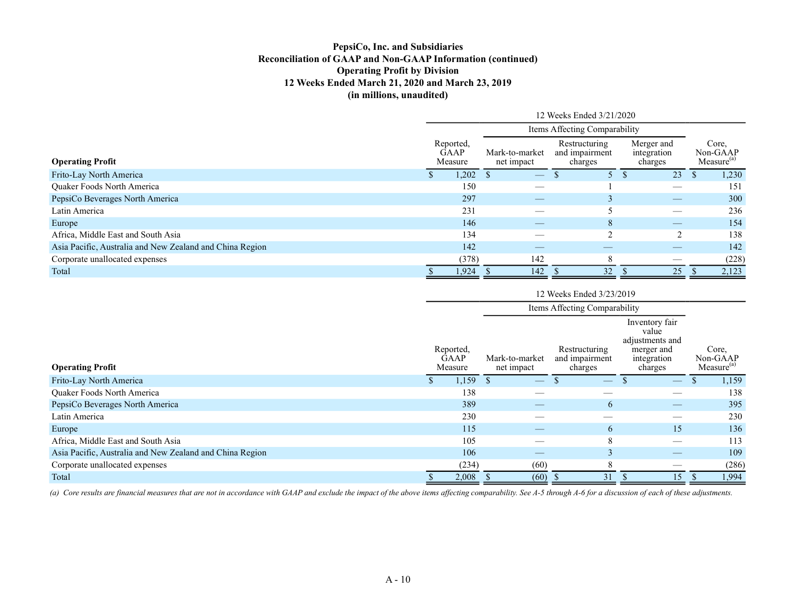|                                                          | 12 weeks Ended 3/21/2020 |                              |                                 |                                            |                                      |                                             |       |
|----------------------------------------------------------|--------------------------|------------------------------|---------------------------------|--------------------------------------------|--------------------------------------|---------------------------------------------|-------|
|                                                          |                          |                              | Items Affecting Comparability   |                                            |                                      |                                             |       |
| <b>Operating Profit</b>                                  |                          | Reported,<br>GAAP<br>Measure | Mark-to-market<br>net impact    | Restructuring<br>and impairment<br>charges | Merger and<br>integration<br>charges | Core,<br>Non-GAAP<br>Measure <sup>(a)</sup> |       |
| Frito-Lay North America                                  |                          | 1,202                        | $\hspace{0.1mm}-\hspace{0.1mm}$ |                                            | 23<br>- 5                            | <b>D</b>                                    | 1,230 |
| Quaker Foods North America                               |                          | 150                          |                                 |                                            |                                      |                                             | 151   |
| PepsiCo Beverages North America                          |                          | 297                          |                                 |                                            | $\hspace{0.1mm}-\hspace{0.1mm}$      |                                             | 300   |
| Latin America                                            |                          | 231                          |                                 |                                            |                                      |                                             | 236   |
| Europe                                                   |                          | 146                          |                                 | 8                                          | $-$                                  |                                             | 154   |
| Africa, Middle East and South Asia                       |                          | 134                          |                                 | $\bigcap$                                  | $\bigcap$                            |                                             | 138   |
| Asia Pacific, Australia and New Zealand and China Region |                          | 142                          |                                 |                                            |                                      |                                             | 142   |
| Corporate unallocated expenses                           |                          | (378)                        | 142                             | 8                                          |                                      |                                             | (228) |
| Total                                                    |                          | 1,924                        | 142                             | 32                                         | 25                                   |                                             | 2,123 |

| 12 Weeks Ended 3/21/2020<br>Items Affecting Comparability<br>Restructuring<br>Merger and<br>Core,<br>Reported,<br>Non-GAAP<br>Measure <sup>(a)</sup><br>GAAP<br>Mark-to-market<br>and impairment<br>integration<br>charges<br><b>Operating Profit</b><br>Measure<br>net impact<br>charges<br>$\overline{5}$ $\overline{\$}$<br>1,202<br>$ \overline{\phantom{0}}$<br>$\overline{23}$<br>$\sqrt{S}$<br>Frito-Lay North America<br>$\mathbb{S}$<br>$\sqrt{S}$<br>150<br>151<br>$\hspace{0.1mm}-\hspace{0.1mm}$<br>PepsiCo Beverages North America<br>297<br>$\overline{\mathbf{3}}$<br>$\hspace{0.1mm}-\hspace{0.1mm}$<br>$\overline{\phantom{m}}$<br>231<br>5<br>$\overline{\phantom{m}}$<br>$\hspace{0.1mm}-\hspace{0.1mm}$<br>146<br>8<br>Europe<br>$\hspace{0.1mm}-\hspace{0.1mm}$<br>$\overline{\phantom{m}}$<br>Africa, Middle East and South Asia<br>134<br>$\overline{2}$<br>$\sqrt{2}$<br>138<br>$\hspace{0.1mm}-\hspace{0.1mm}$<br>142<br>Asia Pacific, Australia and New Zealand and China Region<br>$\hspace{0.1mm}-\hspace{0.1mm}$<br>$\hspace{0.1mm}-\hspace{0.1mm}$<br>Corporate unallocated expenses<br>(378)<br>142<br>8<br>142<br>$\overline{32}$ $\overline{\$}$<br>25<br>1,924<br>$\mathbf{s}$<br>$\mathbb{S}$<br>$\mathbb{S}$<br>12 Weeks Ended 3/23/2019<br>Items Affecting Comparability<br>Inventory fair<br>value<br>adjustments and<br>Reported,<br>Restructuring<br>merger and<br>Core,<br><b>GAAP</b><br>Non-GAAP<br>Mark-to-market<br>and impairment<br>integration<br>Measure <sup>(a)</sup><br><b>Operating Profit</b><br>charges<br>Measure<br>net impact<br>charges<br>$ \overline{\phantom{0}}$<br>$ \overline{\overline{s}}$<br>$\overline{1,159}$ \$<br>$\mathbb{S}$<br>Frito-Lay North America<br>$\mathbb{S}$<br>Quaker Foods North America<br>138<br>138<br>$\hspace{0.1mm}-\hspace{0.1mm}$<br>PepsiCo Beverages North America<br>389<br>6<br>$\overline{\phantom{m}}$<br>$\overline{\phantom{m}}$<br>230<br>230<br>Latin America<br>$\overline{\phantom{m}}$<br>$\hspace{0.05cm}$<br>115<br>15<br>6<br>Europe<br>$\hspace{0.1mm}-\hspace{0.1mm}$<br>Africa, Middle East and South Asia<br>105<br>$8\,$<br>113<br>$\hspace{0.05cm}$<br>$\hspace{0.05cm}$<br>Asia Pacific, Australia and New Zealand and China Region<br>106<br>$\overline{\mathbf{3}}$<br>$\overline{\phantom{m}}$<br>$\overline{\phantom{m}}$<br>Corporate unallocated expenses<br>(234)<br>(60)<br>8<br>$\hspace{0.05cm}$<br>2,008<br>31S<br>15<br>(60)<br>$\sqrt{3}$<br>Total<br>-S<br>-S<br>(a) Core results are financial measures that are not in accordance with GAAP and exclude the impact of the above items affecting comparability. See A-5 through A-6 for a discussion of each of these adjustments. | Reconciliation of GAAP and Non-GAAP Information (continued)<br><b>Operating Profit by Division</b><br>12 Weeks Ended March 21, 2020 and March 23, 2019<br>(in millions, unaudited) | PepsiCo, Inc. and Subsidiaries |  |  |  |  |
|-------------------------------------------------------------------------------------------------------------------------------------------------------------------------------------------------------------------------------------------------------------------------------------------------------------------------------------------------------------------------------------------------------------------------------------------------------------------------------------------------------------------------------------------------------------------------------------------------------------------------------------------------------------------------------------------------------------------------------------------------------------------------------------------------------------------------------------------------------------------------------------------------------------------------------------------------------------------------------------------------------------------------------------------------------------------------------------------------------------------------------------------------------------------------------------------------------------------------------------------------------------------------------------------------------------------------------------------------------------------------------------------------------------------------------------------------------------------------------------------------------------------------------------------------------------------------------------------------------------------------------------------------------------------------------------------------------------------------------------------------------------------------------------------------------------------------------------------------------------------------------------------------------------------------------------------------------------------------------------------------------------------------------------------------------------------------------------------------------------------------------------------------------------------------------------------------------------------------------------------------------------------------------------------------------------------------------------------------------------------------------------------------------------------------------------------------------------------------------------------------------------------------------------------------------------------------------------------------------------------------------------------------------------------------------------------------------------------------|------------------------------------------------------------------------------------------------------------------------------------------------------------------------------------|--------------------------------|--|--|--|--|
|                                                                                                                                                                                                                                                                                                                                                                                                                                                                                                                                                                                                                                                                                                                                                                                                                                                                                                                                                                                                                                                                                                                                                                                                                                                                                                                                                                                                                                                                                                                                                                                                                                                                                                                                                                                                                                                                                                                                                                                                                                                                                                                                                                                                                                                                                                                                                                                                                                                                                                                                                                                                                                                                                                                         |                                                                                                                                                                                    |                                |  |  |  |  |
| 1,230<br>300<br>236<br>154<br>142<br>(228)<br>2,123<br>1,159<br>395<br>136<br>109<br>(286)<br>1,994                                                                                                                                                                                                                                                                                                                                                                                                                                                                                                                                                                                                                                                                                                                                                                                                                                                                                                                                                                                                                                                                                                                                                                                                                                                                                                                                                                                                                                                                                                                                                                                                                                                                                                                                                                                                                                                                                                                                                                                                                                                                                                                                                                                                                                                                                                                                                                                                                                                                                                                                                                                                                     |                                                                                                                                                                                    |                                |  |  |  |  |
|                                                                                                                                                                                                                                                                                                                                                                                                                                                                                                                                                                                                                                                                                                                                                                                                                                                                                                                                                                                                                                                                                                                                                                                                                                                                                                                                                                                                                                                                                                                                                                                                                                                                                                                                                                                                                                                                                                                                                                                                                                                                                                                                                                                                                                                                                                                                                                                                                                                                                                                                                                                                                                                                                                                         |                                                                                                                                                                                    |                                |  |  |  |  |
|                                                                                                                                                                                                                                                                                                                                                                                                                                                                                                                                                                                                                                                                                                                                                                                                                                                                                                                                                                                                                                                                                                                                                                                                                                                                                                                                                                                                                                                                                                                                                                                                                                                                                                                                                                                                                                                                                                                                                                                                                                                                                                                                                                                                                                                                                                                                                                                                                                                                                                                                                                                                                                                                                                                         |                                                                                                                                                                                    |                                |  |  |  |  |
|                                                                                                                                                                                                                                                                                                                                                                                                                                                                                                                                                                                                                                                                                                                                                                                                                                                                                                                                                                                                                                                                                                                                                                                                                                                                                                                                                                                                                                                                                                                                                                                                                                                                                                                                                                                                                                                                                                                                                                                                                                                                                                                                                                                                                                                                                                                                                                                                                                                                                                                                                                                                                                                                                                                         | Quaker Foods North America                                                                                                                                                         |                                |  |  |  |  |
|                                                                                                                                                                                                                                                                                                                                                                                                                                                                                                                                                                                                                                                                                                                                                                                                                                                                                                                                                                                                                                                                                                                                                                                                                                                                                                                                                                                                                                                                                                                                                                                                                                                                                                                                                                                                                                                                                                                                                                                                                                                                                                                                                                                                                                                                                                                                                                                                                                                                                                                                                                                                                                                                                                                         |                                                                                                                                                                                    |                                |  |  |  |  |
|                                                                                                                                                                                                                                                                                                                                                                                                                                                                                                                                                                                                                                                                                                                                                                                                                                                                                                                                                                                                                                                                                                                                                                                                                                                                                                                                                                                                                                                                                                                                                                                                                                                                                                                                                                                                                                                                                                                                                                                                                                                                                                                                                                                                                                                                                                                                                                                                                                                                                                                                                                                                                                                                                                                         | Latin America                                                                                                                                                                      |                                |  |  |  |  |
|                                                                                                                                                                                                                                                                                                                                                                                                                                                                                                                                                                                                                                                                                                                                                                                                                                                                                                                                                                                                                                                                                                                                                                                                                                                                                                                                                                                                                                                                                                                                                                                                                                                                                                                                                                                                                                                                                                                                                                                                                                                                                                                                                                                                                                                                                                                                                                                                                                                                                                                                                                                                                                                                                                                         |                                                                                                                                                                                    |                                |  |  |  |  |
|                                                                                                                                                                                                                                                                                                                                                                                                                                                                                                                                                                                                                                                                                                                                                                                                                                                                                                                                                                                                                                                                                                                                                                                                                                                                                                                                                                                                                                                                                                                                                                                                                                                                                                                                                                                                                                                                                                                                                                                                                                                                                                                                                                                                                                                                                                                                                                                                                                                                                                                                                                                                                                                                                                                         |                                                                                                                                                                                    |                                |  |  |  |  |
|                                                                                                                                                                                                                                                                                                                                                                                                                                                                                                                                                                                                                                                                                                                                                                                                                                                                                                                                                                                                                                                                                                                                                                                                                                                                                                                                                                                                                                                                                                                                                                                                                                                                                                                                                                                                                                                                                                                                                                                                                                                                                                                                                                                                                                                                                                                                                                                                                                                                                                                                                                                                                                                                                                                         |                                                                                                                                                                                    |                                |  |  |  |  |
|                                                                                                                                                                                                                                                                                                                                                                                                                                                                                                                                                                                                                                                                                                                                                                                                                                                                                                                                                                                                                                                                                                                                                                                                                                                                                                                                                                                                                                                                                                                                                                                                                                                                                                                                                                                                                                                                                                                                                                                                                                                                                                                                                                                                                                                                                                                                                                                                                                                                                                                                                                                                                                                                                                                         |                                                                                                                                                                                    |                                |  |  |  |  |
|                                                                                                                                                                                                                                                                                                                                                                                                                                                                                                                                                                                                                                                                                                                                                                                                                                                                                                                                                                                                                                                                                                                                                                                                                                                                                                                                                                                                                                                                                                                                                                                                                                                                                                                                                                                                                                                                                                                                                                                                                                                                                                                                                                                                                                                                                                                                                                                                                                                                                                                                                                                                                                                                                                                         | Total                                                                                                                                                                              |                                |  |  |  |  |
|                                                                                                                                                                                                                                                                                                                                                                                                                                                                                                                                                                                                                                                                                                                                                                                                                                                                                                                                                                                                                                                                                                                                                                                                                                                                                                                                                                                                                                                                                                                                                                                                                                                                                                                                                                                                                                                                                                                                                                                                                                                                                                                                                                                                                                                                                                                                                                                                                                                                                                                                                                                                                                                                                                                         |                                                                                                                                                                                    |                                |  |  |  |  |
|                                                                                                                                                                                                                                                                                                                                                                                                                                                                                                                                                                                                                                                                                                                                                                                                                                                                                                                                                                                                                                                                                                                                                                                                                                                                                                                                                                                                                                                                                                                                                                                                                                                                                                                                                                                                                                                                                                                                                                                                                                                                                                                                                                                                                                                                                                                                                                                                                                                                                                                                                                                                                                                                                                                         |                                                                                                                                                                                    |                                |  |  |  |  |
|                                                                                                                                                                                                                                                                                                                                                                                                                                                                                                                                                                                                                                                                                                                                                                                                                                                                                                                                                                                                                                                                                                                                                                                                                                                                                                                                                                                                                                                                                                                                                                                                                                                                                                                                                                                                                                                                                                                                                                                                                                                                                                                                                                                                                                                                                                                                                                                                                                                                                                                                                                                                                                                                                                                         |                                                                                                                                                                                    |                                |  |  |  |  |
|                                                                                                                                                                                                                                                                                                                                                                                                                                                                                                                                                                                                                                                                                                                                                                                                                                                                                                                                                                                                                                                                                                                                                                                                                                                                                                                                                                                                                                                                                                                                                                                                                                                                                                                                                                                                                                                                                                                                                                                                                                                                                                                                                                                                                                                                                                                                                                                                                                                                                                                                                                                                                                                                                                                         |                                                                                                                                                                                    |                                |  |  |  |  |
|                                                                                                                                                                                                                                                                                                                                                                                                                                                                                                                                                                                                                                                                                                                                                                                                                                                                                                                                                                                                                                                                                                                                                                                                                                                                                                                                                                                                                                                                                                                                                                                                                                                                                                                                                                                                                                                                                                                                                                                                                                                                                                                                                                                                                                                                                                                                                                                                                                                                                                                                                                                                                                                                                                                         |                                                                                                                                                                                    |                                |  |  |  |  |
|                                                                                                                                                                                                                                                                                                                                                                                                                                                                                                                                                                                                                                                                                                                                                                                                                                                                                                                                                                                                                                                                                                                                                                                                                                                                                                                                                                                                                                                                                                                                                                                                                                                                                                                                                                                                                                                                                                                                                                                                                                                                                                                                                                                                                                                                                                                                                                                                                                                                                                                                                                                                                                                                                                                         |                                                                                                                                                                                    |                                |  |  |  |  |
|                                                                                                                                                                                                                                                                                                                                                                                                                                                                                                                                                                                                                                                                                                                                                                                                                                                                                                                                                                                                                                                                                                                                                                                                                                                                                                                                                                                                                                                                                                                                                                                                                                                                                                                                                                                                                                                                                                                                                                                                                                                                                                                                                                                                                                                                                                                                                                                                                                                                                                                                                                                                                                                                                                                         |                                                                                                                                                                                    |                                |  |  |  |  |
|                                                                                                                                                                                                                                                                                                                                                                                                                                                                                                                                                                                                                                                                                                                                                                                                                                                                                                                                                                                                                                                                                                                                                                                                                                                                                                                                                                                                                                                                                                                                                                                                                                                                                                                                                                                                                                                                                                                                                                                                                                                                                                                                                                                                                                                                                                                                                                                                                                                                                                                                                                                                                                                                                                                         |                                                                                                                                                                                    |                                |  |  |  |  |
|                                                                                                                                                                                                                                                                                                                                                                                                                                                                                                                                                                                                                                                                                                                                                                                                                                                                                                                                                                                                                                                                                                                                                                                                                                                                                                                                                                                                                                                                                                                                                                                                                                                                                                                                                                                                                                                                                                                                                                                                                                                                                                                                                                                                                                                                                                                                                                                                                                                                                                                                                                                                                                                                                                                         |                                                                                                                                                                                    |                                |  |  |  |  |
|                                                                                                                                                                                                                                                                                                                                                                                                                                                                                                                                                                                                                                                                                                                                                                                                                                                                                                                                                                                                                                                                                                                                                                                                                                                                                                                                                                                                                                                                                                                                                                                                                                                                                                                                                                                                                                                                                                                                                                                                                                                                                                                                                                                                                                                                                                                                                                                                                                                                                                                                                                                                                                                                                                                         |                                                                                                                                                                                    |                                |  |  |  |  |
|                                                                                                                                                                                                                                                                                                                                                                                                                                                                                                                                                                                                                                                                                                                                                                                                                                                                                                                                                                                                                                                                                                                                                                                                                                                                                                                                                                                                                                                                                                                                                                                                                                                                                                                                                                                                                                                                                                                                                                                                                                                                                                                                                                                                                                                                                                                                                                                                                                                                                                                                                                                                                                                                                                                         |                                                                                                                                                                                    |                                |  |  |  |  |
|                                                                                                                                                                                                                                                                                                                                                                                                                                                                                                                                                                                                                                                                                                                                                                                                                                                                                                                                                                                                                                                                                                                                                                                                                                                                                                                                                                                                                                                                                                                                                                                                                                                                                                                                                                                                                                                                                                                                                                                                                                                                                                                                                                                                                                                                                                                                                                                                                                                                                                                                                                                                                                                                                                                         |                                                                                                                                                                                    |                                |  |  |  |  |
|                                                                                                                                                                                                                                                                                                                                                                                                                                                                                                                                                                                                                                                                                                                                                                                                                                                                                                                                                                                                                                                                                                                                                                                                                                                                                                                                                                                                                                                                                                                                                                                                                                                                                                                                                                                                                                                                                                                                                                                                                                                                                                                                                                                                                                                                                                                                                                                                                                                                                                                                                                                                                                                                                                                         |                                                                                                                                                                                    |                                |  |  |  |  |
|                                                                                                                                                                                                                                                                                                                                                                                                                                                                                                                                                                                                                                                                                                                                                                                                                                                                                                                                                                                                                                                                                                                                                                                                                                                                                                                                                                                                                                                                                                                                                                                                                                                                                                                                                                                                                                                                                                                                                                                                                                                                                                                                                                                                                                                                                                                                                                                                                                                                                                                                                                                                                                                                                                                         |                                                                                                                                                                                    |                                |  |  |  |  |
|                                                                                                                                                                                                                                                                                                                                                                                                                                                                                                                                                                                                                                                                                                                                                                                                                                                                                                                                                                                                                                                                                                                                                                                                                                                                                                                                                                                                                                                                                                                                                                                                                                                                                                                                                                                                                                                                                                                                                                                                                                                                                                                                                                                                                                                                                                                                                                                                                                                                                                                                                                                                                                                                                                                         |                                                                                                                                                                                    |                                |  |  |  |  |
|                                                                                                                                                                                                                                                                                                                                                                                                                                                                                                                                                                                                                                                                                                                                                                                                                                                                                                                                                                                                                                                                                                                                                                                                                                                                                                                                                                                                                                                                                                                                                                                                                                                                                                                                                                                                                                                                                                                                                                                                                                                                                                                                                                                                                                                                                                                                                                                                                                                                                                                                                                                                                                                                                                                         |                                                                                                                                                                                    |                                |  |  |  |  |
|                                                                                                                                                                                                                                                                                                                                                                                                                                                                                                                                                                                                                                                                                                                                                                                                                                                                                                                                                                                                                                                                                                                                                                                                                                                                                                                                                                                                                                                                                                                                                                                                                                                                                                                                                                                                                                                                                                                                                                                                                                                                                                                                                                                                                                                                                                                                                                                                                                                                                                                                                                                                                                                                                                                         |                                                                                                                                                                                    |                                |  |  |  |  |
|                                                                                                                                                                                                                                                                                                                                                                                                                                                                                                                                                                                                                                                                                                                                                                                                                                                                                                                                                                                                                                                                                                                                                                                                                                                                                                                                                                                                                                                                                                                                                                                                                                                                                                                                                                                                                                                                                                                                                                                                                                                                                                                                                                                                                                                                                                                                                                                                                                                                                                                                                                                                                                                                                                                         |                                                                                                                                                                                    |                                |  |  |  |  |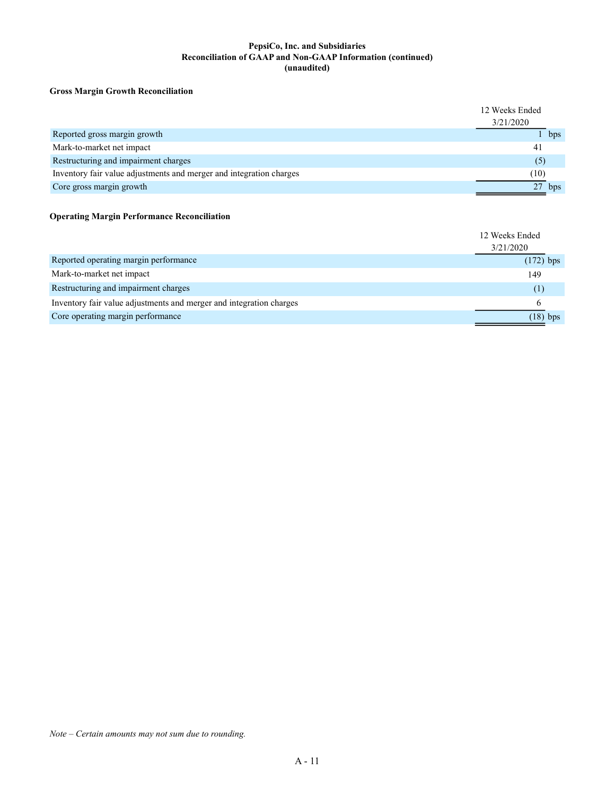#### PepsiCo, Inc. and Subsidiaries Reconciliation of GAAP and Non-GAAP Information (continued) (unaudited)

#### Gross Margin Growth Reconciliation

|                                                                     | 12 Weeks Ended<br>3/21/2020 |
|---------------------------------------------------------------------|-----------------------------|
| Reported gross margin growth                                        | bps                         |
| Mark-to-market net impact                                           | $\mathbf{4}^{\cdot}$        |
| Restructuring and impairment charges                                | (5)                         |
| Inventory fair value adjustments and merger and integration charges | (10)                        |
| Core gross margin growth                                            | bps                         |

### Operating Margin Performance Reconciliation

|                                                                     | 12 Weeks Ended |
|---------------------------------------------------------------------|----------------|
|                                                                     | 3/21/2020      |
| Reported operating margin performance                               | $(172)$ bps    |
| Mark-to-market net impact                                           | 149            |
| Restructuring and impairment charges                                |                |
| Inventory fair value adjustments and merger and integration charges |                |
| Core operating margin performance                                   | $(18)$ bps     |